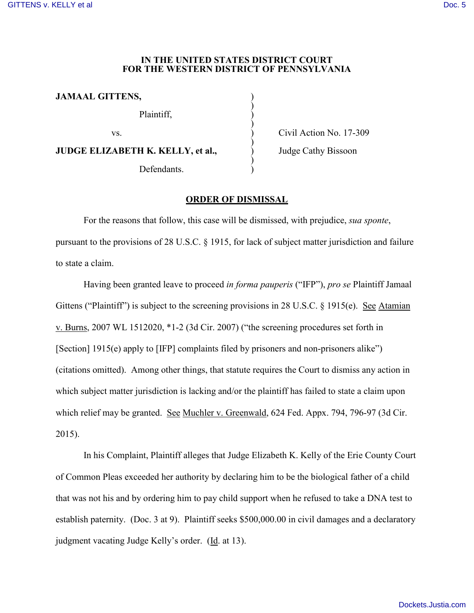## **IN THE UNITED STATES DISTRICT COURT FOR THE WESTERN DISTRICT OF PENNSYLVANIA**

)

)

)

)

**JAMAAL GITTENS,** )

Plaintiff, )

**JUDGE ELIZABETH K. KELLY, et al.,**  $\qquad \qquad$  Judge Cathy Bissoon

Defendants.

vs. Civil Action No. 17-309

## **ORDER OF DISMISSAL**

For the reasons that follow, this case will be dismissed, with prejudice, *sua sponte*, pursuant to the provisions of 28 U.S.C. § 1915, for lack of subject matter jurisdiction and failure to state a claim.

Having been granted leave to proceed *in forma pauperis* ("IFP"), *pro se* Plaintiff Jamaal Gittens ("Plaintiff") is subject to the screening provisions in 28 U.S.C. § 1915(e). See Atamian v. Burns, 2007 WL 1512020, \*1-2 (3d Cir. 2007) ("the screening procedures set forth in [Section] 1915(e) apply to [IFP] complaints filed by prisoners and non-prisoners alike") (citations omitted). Among other things, that statute requires the Court to dismiss any action in which subject matter jurisdiction is lacking and/or the plaintiff has failed to state a claim upon which relief may be granted. See Muchler v. Greenwald, 624 Fed. Appx. 794, 796-97 (3d Cir. 2015).

In his Complaint, Plaintiff alleges that Judge Elizabeth K. Kelly of the Erie County Court of Common Pleas exceeded her authority by declaring him to be the biological father of a child that was not his and by ordering him to pay child support when he refused to take a DNA test to establish paternity. (Doc. 3 at 9). Plaintiff seeks \$500,000.00 in civil damages and a declaratory judgment vacating Judge Kelly's order. (Id. at 13).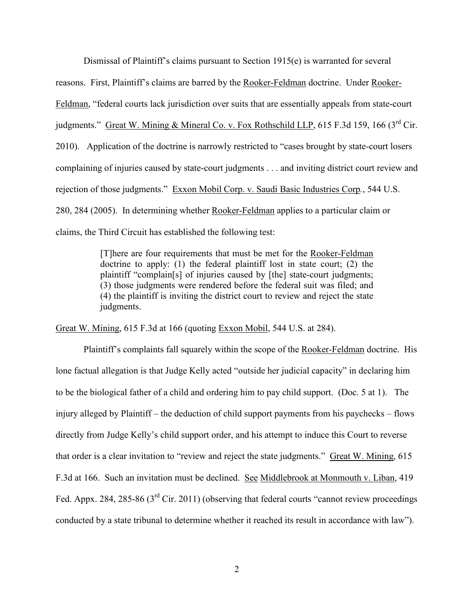Dismissal of Plaintiff's claims pursuant to Section 1915(e) is warranted for several reasons. First, Plaintiff's claims are barred by the Rooker-Feldman doctrine. Under Rooker-Feldman, "federal courts lack jurisdiction over suits that are essentially appeals from state-court judgments." Great W. Mining & Mineral Co. v. Fox Rothschild LLP, 615 F.3d 159, 166 (3<sup>rd</sup> Cir. 2010). Application of the doctrine is narrowly restricted to "cases brought by state-court losers complaining of injuries caused by state-court judgments . . . and inviting district court review and rejection of those judgments." Exxon Mobil Corp. v. Saudi Basic Industries Corp*.*, 544 U.S. 280, 284 (2005). In determining whether Rooker-Feldman applies to a particular claim or claims, the Third Circuit has established the following test:

> [T]here are four requirements that must be met for the Rooker-Feldman doctrine to apply: (1) the federal plaintiff lost in state court; (2) the plaintiff "complain[s] of injuries caused by [the] state-court judgments; (3) those judgments were rendered before the federal suit was filed; and (4) the plaintiff is inviting the district court to review and reject the state judgments.

Great W. Mining, 615 F.3d at 166 (quoting Exxon Mobil, 544 U.S. at 284).

Plaintiff's complaints fall squarely within the scope of the Rooker-Feldman doctrine. His lone factual allegation is that Judge Kelly acted "outside her judicial capacity" in declaring him to be the biological father of a child and ordering him to pay child support. (Doc. 5 at 1). The injury alleged by Plaintiff – the deduction of child support payments from his paychecks – flows directly from Judge Kelly's child support order, and his attempt to induce this Court to reverse that order is a clear invitation to "review and reject the state judgments." Great W. Mining, 615 F.3d at 166. Such an invitation must be declined. See Middlebrook at Monmouth v. Liban, 419 Fed. Appx. 284, 285-86 (3<sup>rd</sup> Cir. 2011) (observing that federal courts "cannot review proceedings conducted by a state tribunal to determine whether it reached its result in accordance with law").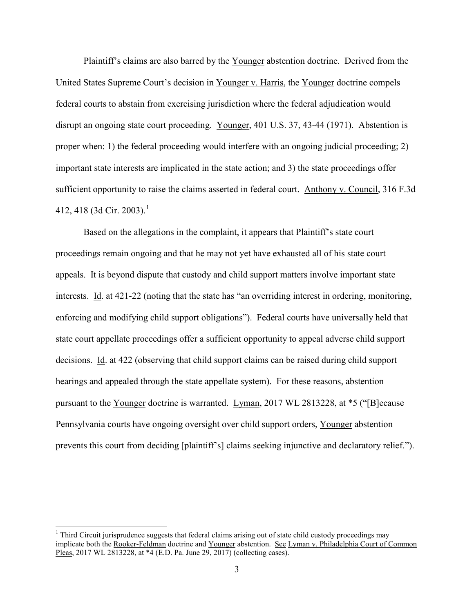Plaintiff's claims are also barred by the Younger abstention doctrine. Derived from the United States Supreme Court's decision in Younger v. Harris, the Younger doctrine compels federal courts to abstain from exercising jurisdiction where the federal adjudication would disrupt an ongoing state court proceeding. Younger, 401 U.S. 37, 43-44 (1971). Abstention is proper when: 1) the federal proceeding would interfere with an ongoing judicial proceeding; 2) important state interests are implicated in the state action; and 3) the state proceedings offer sufficient opportunity to raise the claims asserted in federal court. Anthony v. Council, 316 F.3d 4[1](#page-2-0)2, 418 (3d Cir. 2003).<sup>1</sup>

Based on the allegations in the complaint, it appears that Plaintiff's state court proceedings remain ongoing and that he may not yet have exhausted all of his state court appeals. It is beyond dispute that custody and child support matters involve important state interests. Id. at 421-22 (noting that the state has "an overriding interest in ordering, monitoring, enforcing and modifying child support obligations"). Federal courts have universally held that state court appellate proceedings offer a sufficient opportunity to appeal adverse child support decisions. Id. at 422 (observing that child support claims can be raised during child support hearings and appealed through the state appellate system). For these reasons, abstention pursuant to the Younger doctrine is warranted. Lyman, 2017 WL 2813228, at \*5 ("[B]ecause Pennsylvania courts have ongoing oversight over child support orders, Younger abstention prevents this court from deciding [plaintiff's] claims seeking injunctive and declaratory relief.").

<span id="page-2-0"></span><sup>&</sup>lt;sup>1</sup> Third Circuit jurisprudence suggests that federal claims arising out of state child custody proceedings may implicate both the Rooker-Feldman doctrine and Younger abstention. See Lyman v. Philadelphia Court of Common Pleas, 2017 WL 2813228, at \*4 (E.D. Pa. June 29, 2017) (collecting cases).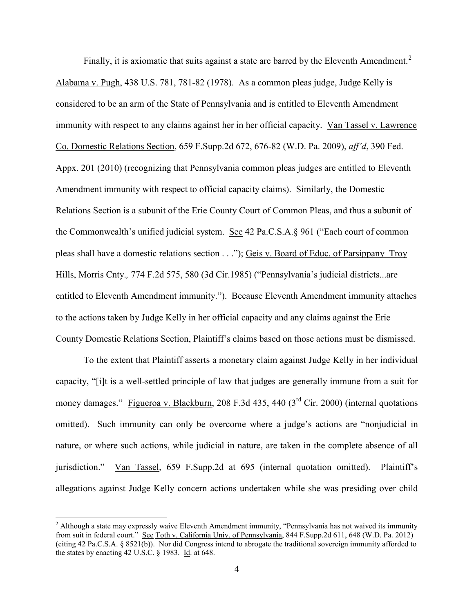Finally, it is axiomatic that suits against a state are barred by the Eleventh Amendment.<sup>[2](#page-3-0)</sup> Alabama v. Pugh, 438 U.S. 781, 781-82 (1978). As a common pleas judge, Judge Kelly is considered to be an arm of the State of Pennsylvania and is entitled to Eleventh Amendment immunity with respect to any claims against her in her official capacity. Van Tassel v. Lawrence Co. Domestic Relations Section, 659 F.Supp.2d 672, 676-82 (W.D. Pa. 2009), *aff'd*, 390 Fed. Appx. 201 (2010) (recognizing that Pennsylvania common pleas judges are entitled to Eleventh Amendment immunity with respect to official capacity claims). Similarly, the Domestic Relations Section is a subunit of the Erie County Court of Common Pleas, and thus a subunit of the Commonwealth's unified judicial system. See 42 Pa.C.S.A.§ 961 ("Each court of common pleas shall have a domestic relations section . . ."); Geis v. Board of Educ. of Parsippany–Troy Hills, Morris Cnty.*,* 774 F.2d 575, 580 (3d Cir.1985) ("Pennsylvania's judicial districts...are entitled to Eleventh Amendment immunity."). Because Eleventh Amendment immunity attaches to the actions taken by Judge Kelly in her official capacity and any claims against the Erie County Domestic Relations Section, Plaintiff's claims based on those actions must be dismissed.

To the extent that Plaintiff asserts a monetary claim against Judge Kelly in her individual capacity, "[i]t is a well-settled principle of law that judges are generally immune from a suit for money damages." Figueroa v. Blackburn, 208 F.3d 435, 440 (3<sup>rd</sup> Cir. 2000) (internal quotations omitted). Such immunity can only be overcome where a judge's actions are "nonjudicial in nature, or where such actions, while judicial in nature, are taken in the complete absence of all jurisdiction." Van Tassel, 659 F.Supp.2d at 695 (internal quotation omitted). Plaintiff's allegations against Judge Kelly concern actions undertaken while she was presiding over child

<span id="page-3-0"></span><sup>&</sup>lt;sup>2</sup> Although a state may expressly waive Eleventh Amendment immunity, "Pennsylvania has not waived its immunity from suit in federal court." See Toth v. California Univ. of Pennsylvania, 844 F.Supp.2d 611, 648 (W.D. Pa. 2012) (citing 42 Pa.C.S.A. § 8521(b)). Nor did Congress intend to abrogate the traditional sovereign immunity afforded to the states by enacting 42 U.S.C. § 1983. Id. at 648.